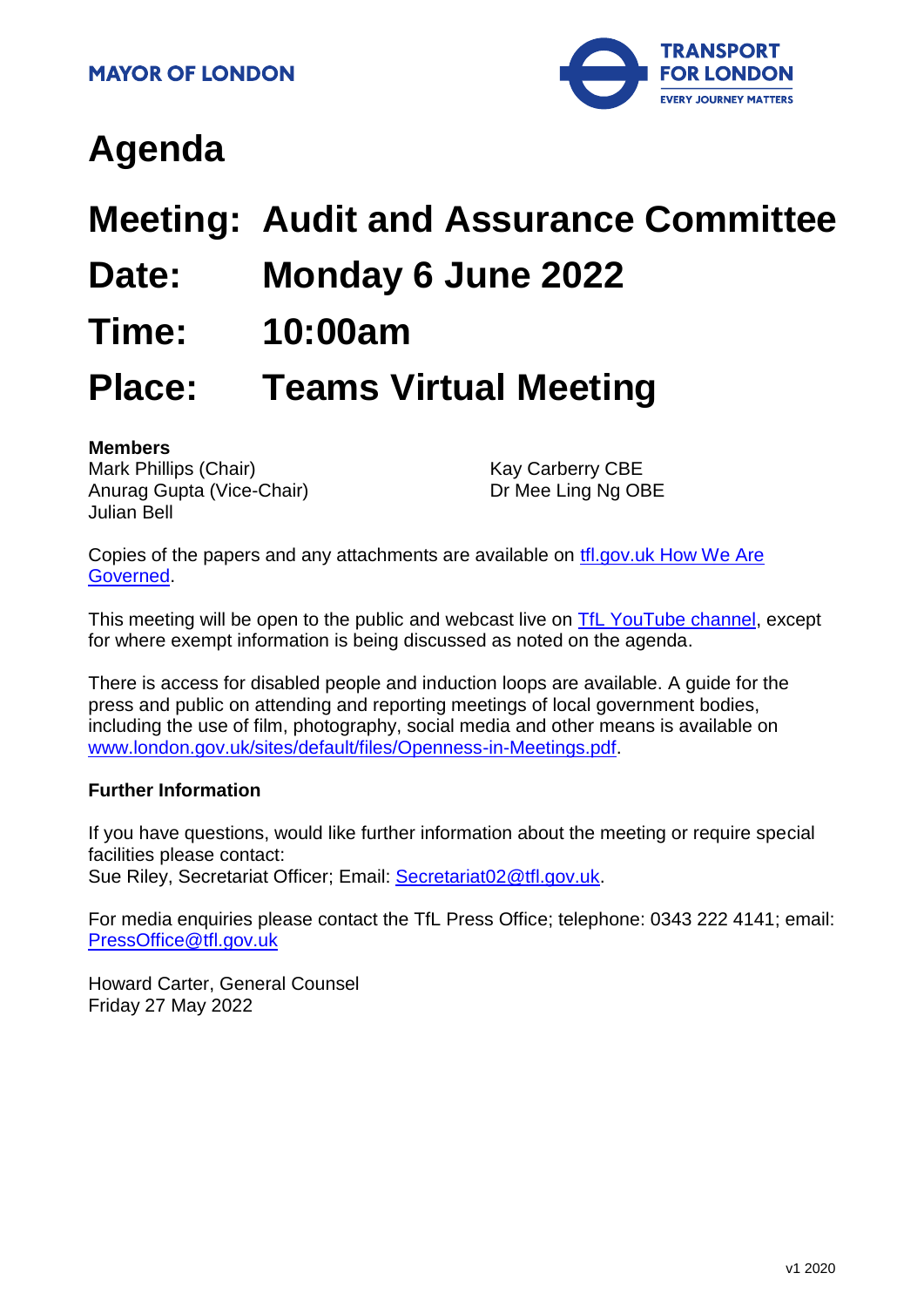

# **Agenda**

# **Meeting: Audit and Assurance Committee Date: Monday 6 June 2022 Time: 10:00am Place: Teams Virtual Meeting**

#### **Members**

Mark Phillips (Chair) Anurag Gupta (Vice-Chair) Julian Bell

Kay Carberry CBE Dr Mee Ling Ng OBE

Copies of the papers and any attachments are available on tfl.gov.uk How We Are [Governed.](http://www.tfl.gov.uk/corporate/about-tfl/how-we-work/how-we-are-governed)

This meeting will be open to the public and webcast live on [TfL YouTube channel,](https://www.youtube.com/watch?v=_2U9viPQ9WE&list=PLtnlusA0Zoggk4qvN68OcnD9k_7B8cY_d) except for where exempt information is being discussed as noted on the agenda.

There is access for disabled people and induction loops are available. A guide for the press and public on attending and reporting meetings of local government bodies, including the use of film, photography, social media and other means is available on [www.london.gov.uk/sites/default/files/Openness-in-Meetings.pdf.](http://www.london.gov.uk/sites/default/files/Openness-in-Meetings.pdf)

#### **Further Information**

If you have questions, would like further information about the meeting or require special facilities please contact: Sue Riley, Secretariat Officer; Email: [Secretariat02@tfl.gov.uk.](mailto:Secretariat02@tfl.gov.uk)

For media enquiries please contact the TfL Press Office; telephone: 0343 222 4141; email: [PressOffice@tfl.gov.uk](mailto:PressOffice@tfl.gov.uk)

Howard Carter, General Counsel Friday 27 May 2022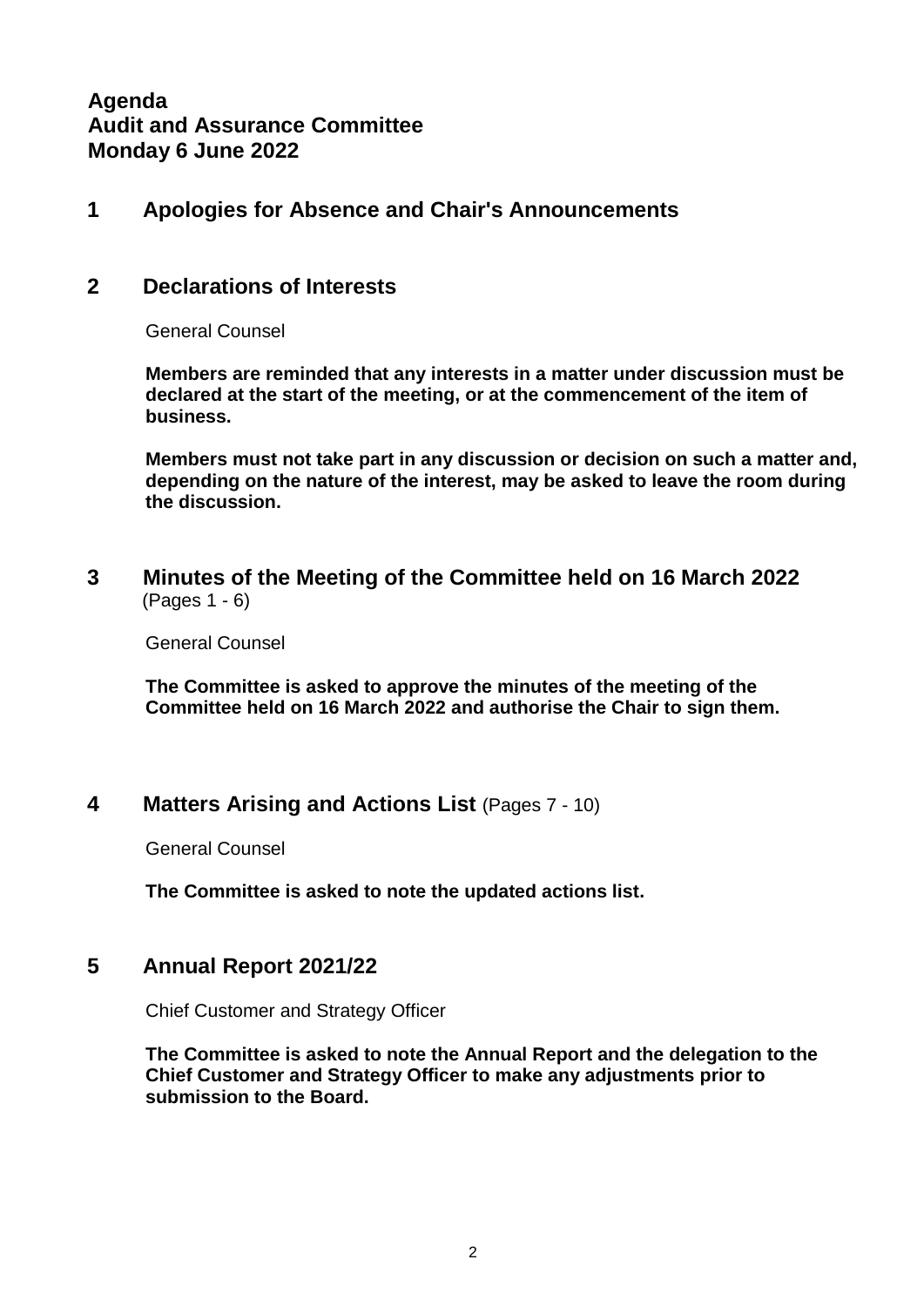# **Agenda Audit and Assurance Committee Monday 6 June 2022**

# **1 Apologies for Absence and Chair's Announcements**

# **2 Declarations of Interests**

General Counsel

**Members are reminded that any interests in a matter under discussion must be declared at the start of the meeting, or at the commencement of the item of business.** 

**Members must not take part in any discussion or decision on such a matter and, depending on the nature of the interest, may be asked to leave the room during the discussion.**

**3 Minutes of the Meeting of the Committee held on 16 March 2022** (Pages 1 - 6)

General Counsel

**The Committee is asked to approve the minutes of the meeting of the Committee held on 16 March 2022 and authorise the Chair to sign them.**

# **4 Matters Arising and Actions List** (Pages 7 - 10)

General Counsel

**The Committee is asked to note the updated actions list.**

# **5 Annual Report 2021/22**

Chief Customer and Strategy Officer

**The Committee is asked to note the Annual Report and the delegation to the Chief Customer and Strategy Officer to make any adjustments prior to submission to the Board.**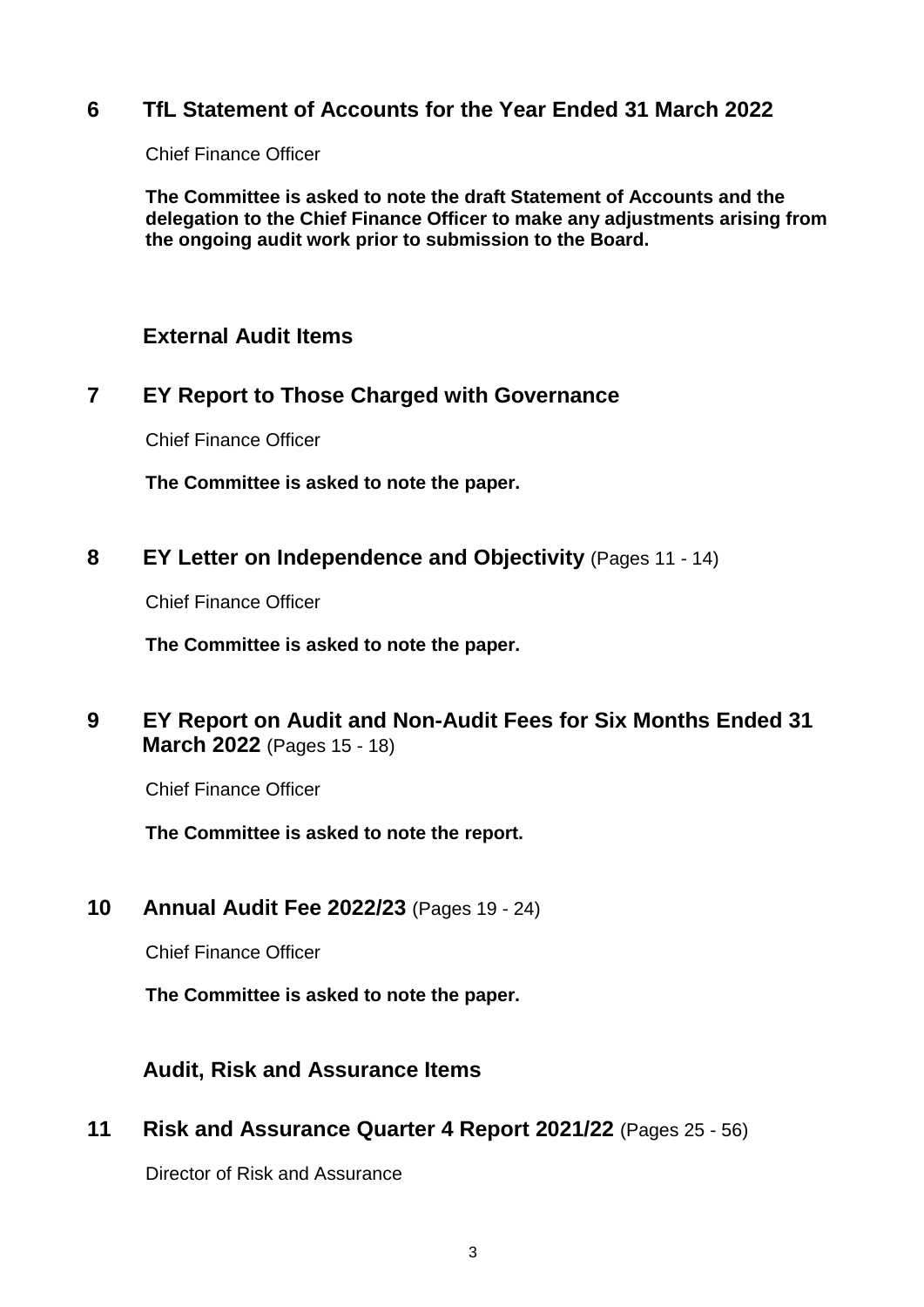# **6 TfL Statement of Accounts for the Year Ended 31 March 2022**

Chief Finance Officer

**The Committee is asked to note the draft Statement of Accounts and the delegation to the Chief Finance Officer to make any adjustments arising from the ongoing audit work prior to submission to the Board.**

# **External Audit Items**

# **7 EY Report to Those Charged with Governance**

Chief Finance Officer

**The Committee is asked to note the paper.**

# **8 EY Letter on Independence and Objectivity** (Pages 11 - 14)

Chief Finance Officer

**The Committee is asked to note the paper.**

# **9 EY Report on Audit and Non-Audit Fees for Six Months Ended 31 March 2022** (Pages 15 - 18)

Chief Finance Officer

**The Committee is asked to note the report.**

# **10 Annual Audit Fee 2022/23** (Pages 19 - 24)

Chief Finance Officer

**The Committee is asked to note the paper.**

# **Audit, Risk and Assurance Items**

# **11 Risk and Assurance Quarter 4 Report 2021/22** (Pages 25 - 56)

Director of Risk and Assurance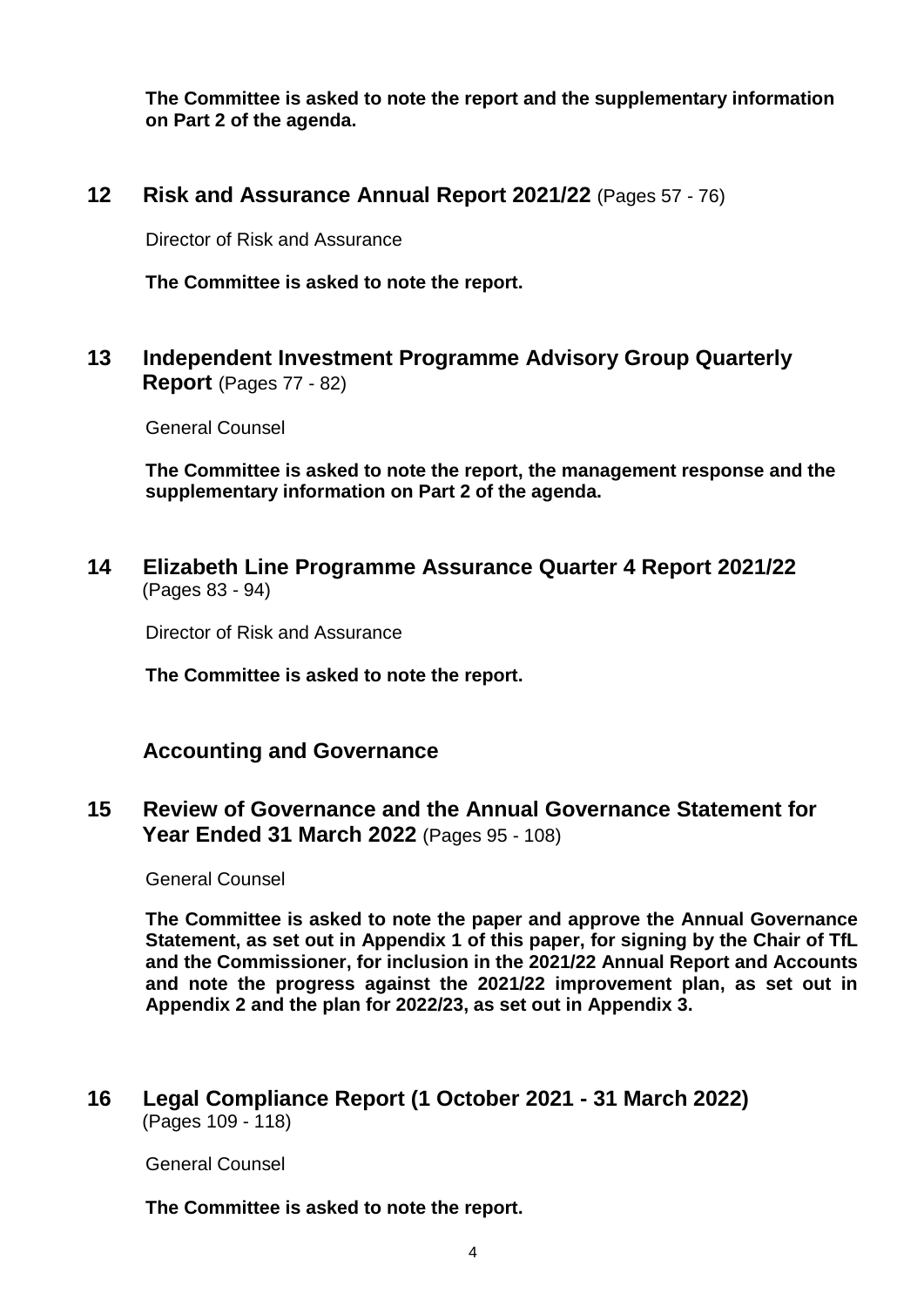**The Committee is asked to note the report and the supplementary information on Part 2 of the agenda.**

**12 Risk and Assurance Annual Report 2021/22** (Pages 57 - 76)

Director of Risk and Assurance

**The Committee is asked to note the report.**

**13 Independent Investment Programme Advisory Group Quarterly Report** (Pages 77 - 82)

General Counsel

**The Committee is asked to note the report, the management response and the supplementary information on Part 2 of the agenda.**

**14 Elizabeth Line Programme Assurance Quarter 4 Report 2021/22** (Pages 83 - 94)

Director of Risk and Assurance

**The Committee is asked to note the report.**

# **Accounting and Governance**

**15 Review of Governance and the Annual Governance Statement for Year Ended 31 March 2022** (Pages 95 - 108)

General Counsel

**The Committee is asked to note the paper and approve the Annual Governance Statement, as set out in Appendix 1 of this paper, for signing by the Chair of TfL and the Commissioner, for inclusion in the 2021/22 Annual Report and Accounts and note the progress against the 2021/22 improvement plan, as set out in Appendix 2 and the plan for 2022/23, as set out in Appendix 3.**

**16 Legal Compliance Report (1 October 2021 - 31 March 2022)** (Pages 109 - 118)

General Counsel

**The Committee is asked to note the report.**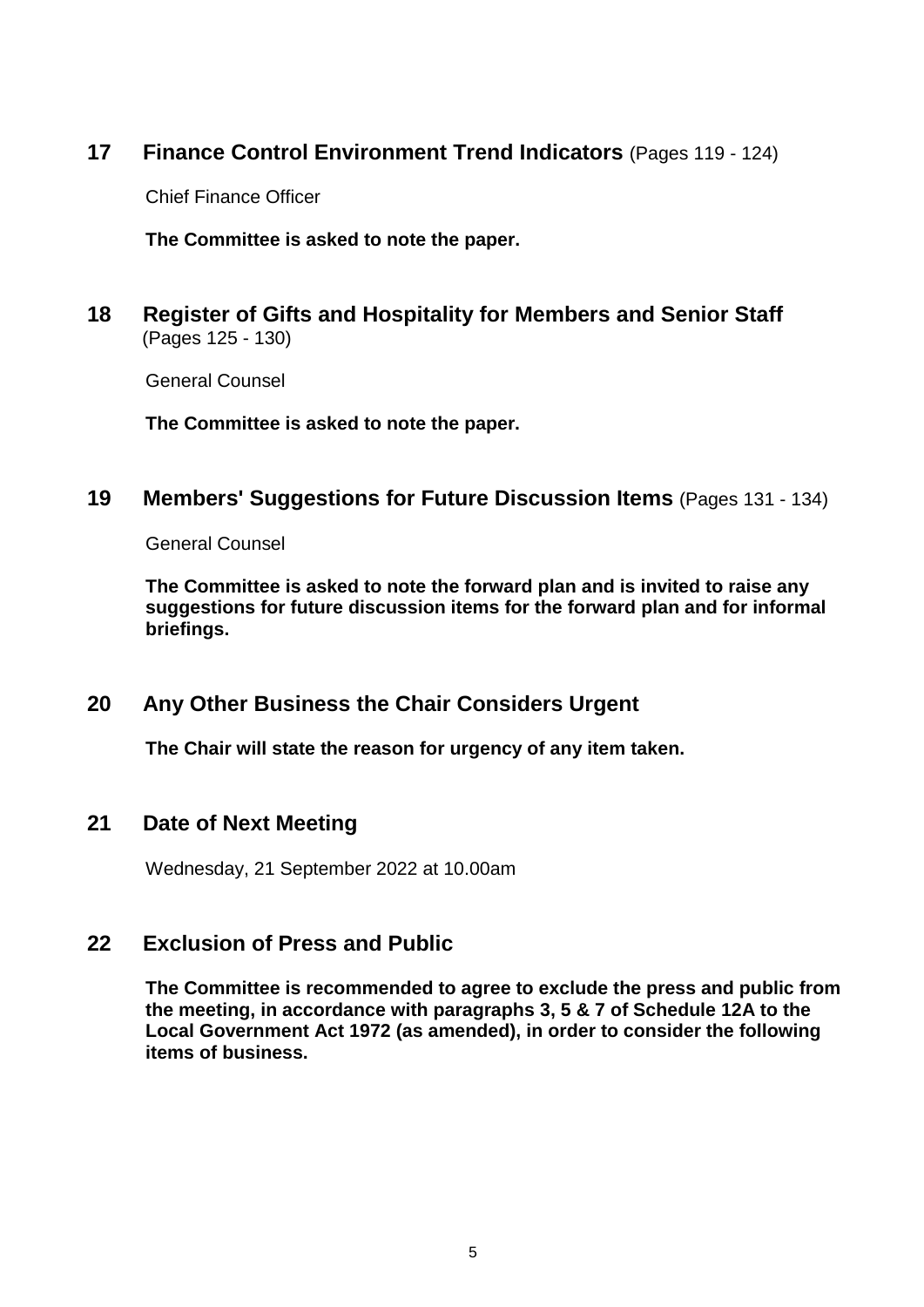# **17 Finance Control Environment Trend Indicators** (Pages 119 - 124)

Chief Finance Officer

**The Committee is asked to note the paper.**

**18 Register of Gifts and Hospitality for Members and Senior Staff** (Pages 125 - 130)

General Counsel

**The Committee is asked to note the paper.**

#### **19 Members' Suggestions for Future Discussion Items** (Pages 131 - 134)

General Counsel

**The Committee is asked to note the forward plan and is invited to raise any suggestions for future discussion items for the forward plan and for informal briefings.**

# **20 Any Other Business the Chair Considers Urgent**

**The Chair will state the reason for urgency of any item taken.**

# **21 Date of Next Meeting**

Wednesday, 21 September 2022 at 10.00am

# **22 Exclusion of Press and Public**

**The Committee is recommended to agree to exclude the press and public from the meeting, in accordance with paragraphs 3, 5 & 7 of Schedule 12A to the Local Government Act 1972 (as amended), in order to consider the following items of business.**